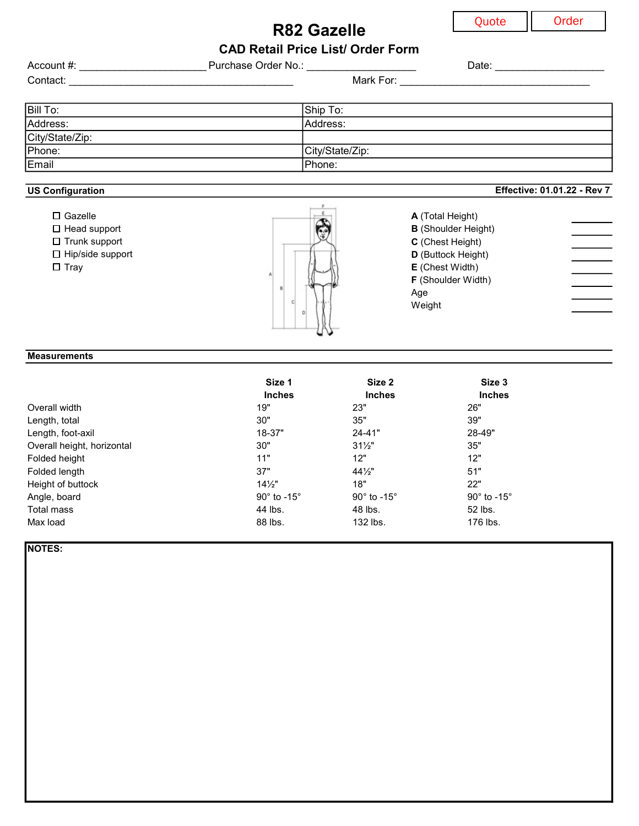Effective: 01.01.22 - Rev 7

R82 Gazelle CAD Retail Price List/ Order Form

| Account #:      | Purchase Order No.: | Date: |
|-----------------|---------------------|-------|
| Contact:        | Mark For:           |       |
|                 |                     |       |
| <b>Bill To:</b> | Ship To:            |       |
| Address:        | Address:            |       |
| City/State/Zip: |                     |       |
| Phone:          | City/State/Zip:     |       |
| Email           | Phone:              |       |

### US Configuration



## **Measurements**

|                            | Size 1                     | Size 2                          | Size 3                     |
|----------------------------|----------------------------|---------------------------------|----------------------------|
|                            | <b>Inches</b>              | <b>Inches</b>                   | <b>Inches</b>              |
| Overall width              | 19"                        | 23"                             | 26"                        |
| Length, total              | 30"                        | 35"                             | 39"                        |
| Length, foot-axil          | 18-37"                     | $24 - 41"$                      | 28-49"                     |
| Overall height, horizontal | 30"                        | $31\frac{1}{2}$                 | 35"                        |
| Folded height              | 11"                        | 12"                             | 12"                        |
| Folded length              | 37"                        | $44\frac{1}{2}$                 | 51"                        |
| Height of buttock          | $14\frac{1}{2}$            | 18"                             | 22"                        |
| Angle, board               | $90^\circ$ to -15 $^\circ$ | 90 $^{\circ}$ to -15 $^{\circ}$ | $90^\circ$ to -15 $^\circ$ |
| Total mass                 | 44 lbs.                    | 48 lbs.                         | 52 lbs.                    |
| Max load                   | 88 lbs.                    | 132 lbs.                        | 176 lbs.                   |

NOTES: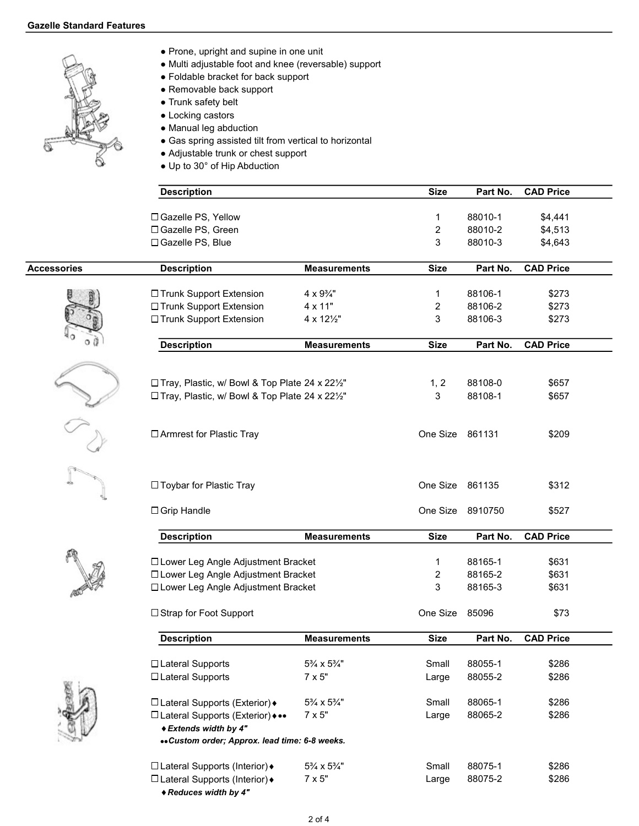

- Prone, upright and supine in one unit
- Multi adjustable foot and knee (reversable) support
- Foldable bracket for back support
- Removable back support
- Trunk safety belt
- Locking castors
- Manual leg abduction
- Gas spring assisted tilt from vertical to horizontal
- Adjustable trunk or chest support
- Up to 30° of Hip Abduction

|                    | <b>Description</b>                                         |                           | <b>Size</b>     | Part No.         | <b>CAD Price</b> |
|--------------------|------------------------------------------------------------|---------------------------|-----------------|------------------|------------------|
|                    | □ Gazelle PS, Yellow                                       |                           | 1               | 88010-1          | \$4,441          |
|                    | □ Gazelle PS, Green                                        |                           | $\overline{c}$  | 88010-2          | \$4,513          |
|                    | □ Gazelle PS, Blue                                         |                           | 3               | 88010-3          | \$4,643          |
| <b>Accessories</b> | <b>Description</b>                                         | <b>Measurements</b>       | <b>Size</b>     | Part No.         | <b>CAD Price</b> |
|                    |                                                            |                           |                 |                  |                  |
|                    | □ Trunk Support Extension                                  | $4 \times 9\frac{3}{4}$ " | 1               | 88106-1          | \$273            |
|                    | □ Trunk Support Extension                                  | 4 x 11"                   | 2               | 88106-2          | \$273            |
|                    | □ Trunk Support Extension                                  | 4 x 121/2"                | 3               | 88106-3          | \$273            |
|                    | <b>Description</b>                                         | <b>Measurements</b>       | <b>Size</b>     | Part No.         | <b>CAD Price</b> |
|                    |                                                            |                           |                 |                  |                  |
|                    | □ Tray, Plastic, w/ Bowl & Top Plate 24 x 221/2"           |                           | 1, 2            | 88108-0          | \$657            |
|                    |                                                            |                           | $\mathbf{3}$    | 88108-1          |                  |
|                    | □ Tray, Plastic, w/ Bowl & Top Plate 24 x 221/2"           |                           |                 |                  | \$657            |
|                    | □ Armrest for Plastic Tray                                 |                           | One Size 861131 |                  | \$209            |
|                    | □ Toybar for Plastic Tray                                  |                           | One Size 861135 |                  | \$312            |
|                    |                                                            |                           |                 |                  |                  |
|                    | $\Box$ Grip Handle                                         |                           |                 | One Size 8910750 | \$527            |
|                    | <b>Description</b>                                         | <b>Measurements</b>       | <b>Size</b>     | Part No.         | <b>CAD Price</b> |
|                    | □ Lower Leg Angle Adjustment Bracket                       |                           | 1               | 88165-1          | \$631            |
|                    | □ Lower Leg Angle Adjustment Bracket                       |                           | 2               | 88165-2          | \$631            |
|                    | □ Lower Leg Angle Adjustment Bracket                       |                           | 3               | 88165-3          | \$631            |
|                    |                                                            |                           |                 |                  |                  |
|                    | □ Strap for Foot Support                                   |                           | One Size        | 85096            | \$73             |
|                    | <b>Description</b>                                         | <b>Measurements</b>       | <b>Size</b>     | Part No.         | <b>CAD Price</b> |
|                    | □ Lateral Supports                                         | 5% x 5%"                  | Small           | 88055-1          | \$286            |
|                    | □ Lateral Supports                                         | $7 \times 5"$             |                 | 88055-2          | \$286            |
|                    |                                                            |                           | Large           |                  |                  |
|                    | □ Lateral Supports (Exterior) +                            | 5% x 5%"                  | Small           | 88065-1          | \$286            |
|                    | □ Lateral Supports (Exterior) •••<br>◆ Extends width by 4" | $7 \times 5"$             | Large           | 88065-2          | \$286            |
|                    | «Custom order; Approx. lead time: 6-8 weeks.               |                           |                 |                  |                  |
|                    | □ Lateral Supports (Interior) +                            | 5% x 5%"                  | Small           | 88075-1          | \$286            |
|                    | □ Lateral Supports (Interior) +                            | $7 \times 5"$             | Large           | 88075-2          | \$286            |
|                    |                                                            |                           |                 |                  |                  |

Reduces width by 4"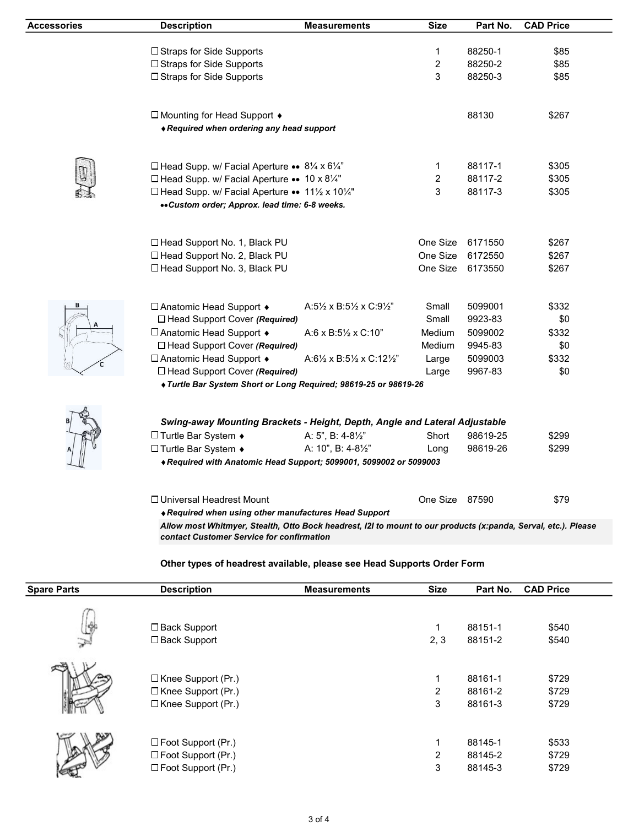| Accessories | <b>Description</b>                                                                                                                                          | <b>Measurements</b>                                          | <b>Size</b>    | Part No.         | <b>CAD Price</b> |  |
|-------------|-------------------------------------------------------------------------------------------------------------------------------------------------------------|--------------------------------------------------------------|----------------|------------------|------------------|--|
|             |                                                                                                                                                             |                                                              |                |                  |                  |  |
|             | □ Straps for Side Supports                                                                                                                                  |                                                              | 1              | 88250-1          | \$85             |  |
|             | □ Straps for Side Supports                                                                                                                                  |                                                              | $\overline{c}$ | 88250-2          | \$85             |  |
|             | □ Straps for Side Supports                                                                                                                                  |                                                              | 3              | 88250-3          | \$85             |  |
|             | □ Mounting for Head Support ♦<br>◆ Required when ordering any head support                                                                                  |                                                              |                | 88130            | \$267            |  |
|             |                                                                                                                                                             |                                                              |                |                  |                  |  |
|             | □ Head Supp. w/ Facial Aperture •• 81/4 x 61/4"                                                                                                             |                                                              | 1              | 88117-1          | \$305            |  |
|             | □ Head Supp. w/ Facial Aperture •• 10 x 81/4"                                                                                                               |                                                              | 2              | 88117-2          | \$305            |  |
|             | □ Head Supp. w/ Facial Aperture •• 11½ x 101⁄4"<br>«Custom order; Approx. lead time: 6-8 weeks.                                                             |                                                              | 3              | 88117-3          | \$305            |  |
|             |                                                                                                                                                             |                                                              |                |                  |                  |  |
|             | □ Head Support No. 1, Black PU                                                                                                                              |                                                              | One Size       | 6171550          | \$267            |  |
|             | □ Head Support No. 2, Black PU                                                                                                                              |                                                              | One Size       | 6172550          | \$267            |  |
|             | □ Head Support No. 3, Black PU                                                                                                                              |                                                              |                | One Size 6173550 | \$267            |  |
|             |                                                                                                                                                             |                                                              |                |                  |                  |  |
|             | □ Anatomic Head Support ♦                                                                                                                                   | A:5 $\frac{1}{2}$ x B:5 $\frac{1}{2}$ x C:9 $\frac{1}{2}$ "  | Small          | 5099001          | \$332            |  |
|             | □ Head Support Cover (Required)                                                                                                                             |                                                              | Small          | 9923-83          | \$0              |  |
|             | □ Anatomic Head Support •                                                                                                                                   | $A:6 \times B:5\frac{1}{2} \times C:10$ "                    | Medium         | 5099002          | \$332            |  |
|             | □ Head Support Cover (Required)                                                                                                                             |                                                              | Medium         | 9945-83          | \$0              |  |
|             | □ Anatomic Head Support +                                                                                                                                   | A:6 $\frac{1}{2}$ x B:5 $\frac{1}{2}$ x C:12 $\frac{1}{2}$ " | Large          | 5099003          | \$332            |  |
|             | $\Box$ Head Support Cover (Required)                                                                                                                        |                                                              | Large          | 9967-83          | \$0              |  |
|             | ◆ Turtle Bar System Short or Long Required; 98619-25 or 98619-26                                                                                            |                                                              |                |                  |                  |  |
|             |                                                                                                                                                             |                                                              |                |                  |                  |  |
|             | Swing-away Mounting Brackets - Height, Depth, Angle and Lateral Adjustable                                                                                  |                                                              |                |                  |                  |  |
|             | □ Turtle Bar System $\bullet$                                                                                                                               | A: 5", B: $4-8\frac{1}{2}$ "                                 | Short          | 98619-25         | \$299            |  |
|             | □ Turtle Bar System $\bullet$                                                                                                                               | A: 10", B: 4-81/2"                                           | Long           | 98619-26         | \$299            |  |
|             | ♦ Required with Anatomic Head Support; 5099001, 5099002 or 5099003                                                                                          |                                                              |                |                  |                  |  |
|             | □ Universal Headrest Mount                                                                                                                                  |                                                              | One Size 87590 |                  | \$79             |  |
|             | ◆ Required when using other manufactures Head Support                                                                                                       |                                                              |                |                  |                  |  |
|             | Allow most Whitmyer, Stealth, Otto Bock headrest, I2I to mount to our products (x:panda, Serval, etc.). Please<br>contact Customer Service for confirmation |                                                              |                |                  |                  |  |
|             |                                                                                                                                                             |                                                              |                |                  |                  |  |

## Other types of headrest available, please see Head Supports Order Form

| <b>Spare Parts</b> | <b>Description</b>                                                             | <b>Measurements</b> | <b>Size</b>              | Part No.                      | <b>CAD Price</b>        |
|--------------------|--------------------------------------------------------------------------------|---------------------|--------------------------|-------------------------------|-------------------------|
| ≫                  | □ Back Support<br>□ Back Support                                               |                     | 1<br>2, 3                | 88151-1<br>88151-2            | \$540<br>\$540          |
|                    | □ Knee Support (Pr.)<br>$\Box$ Knee Support (Pr.)<br>$\Box$ Knee Support (Pr.) |                     | 1<br>$\overline{2}$<br>3 | 88161-1<br>88161-2<br>88161-3 | \$729<br>\$729<br>\$729 |
|                    | $\square$ Foot Support (Pr.)<br>□ Foot Support (Pr.)<br>□ Foot Support (Pr.)   |                     | 1<br>$\overline{2}$<br>3 | 88145-1<br>88145-2<br>88145-3 | \$533<br>\$729<br>\$729 |